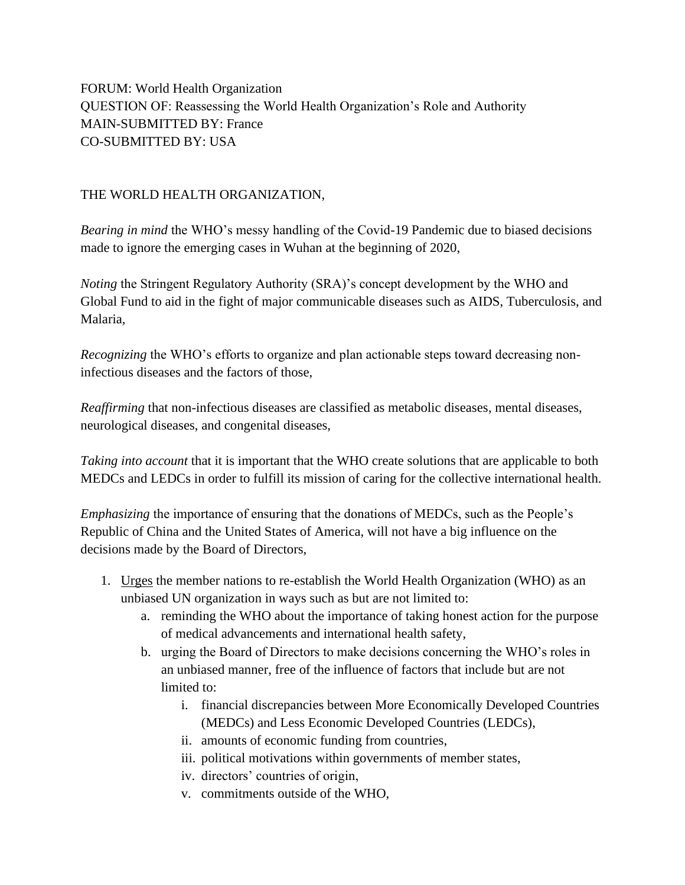FORUM: World Health Organization QUESTION OF: Reassessing the World Health Organization's Role and Authority MAIN-SUBMITTED BY: France CO-SUBMITTED BY: USA

## THE WORLD HEALTH ORGANIZATION,

*Bearing in mind* the WHO's messy handling of the Covid-19 Pandemic due to biased decisions made to ignore the emerging cases in Wuhan at the beginning of 2020,

*Noting* the Stringent Regulatory Authority (SRA)'s concept development by the WHO and Global Fund to aid in the fight of major communicable diseases such as AIDS, Tuberculosis, and Malaria,

*Recognizing* the WHO's efforts to organize and plan actionable steps toward decreasing noninfectious diseases and the factors of those,

*Reaffirming* that non-infectious diseases are classified as metabolic diseases, mental diseases, neurological diseases, and congenital diseases,

*Taking into account* that it is important that the WHO create solutions that are applicable to both MEDCs and LEDCs in order to fulfill its mission of caring for the collective international health.

*Emphasizing* the importance of ensuring that the donations of MEDCs, such as the People's Republic of China and the United States of America, will not have a big influence on the decisions made by the Board of Directors,

- 1. Urges the member nations to re-establish the World Health Organization (WHO) as an unbiased UN organization in ways such as but are not limited to:
	- a. reminding the WHO about the importance of taking honest action for the purpose of medical advancements and international health safety,
	- b. urging the Board of Directors to make decisions concerning the WHO's roles in an unbiased manner, free of the influence of factors that include but are not limited to:
		- i. financial discrepancies between More Economically Developed Countries (MEDCs) and Less Economic Developed Countries (LEDCs),
		- ii. amounts of economic funding from countries,
		- iii. political motivations within governments of member states,
		- iv. directors' countries of origin,
		- v. commitments outside of the WHO,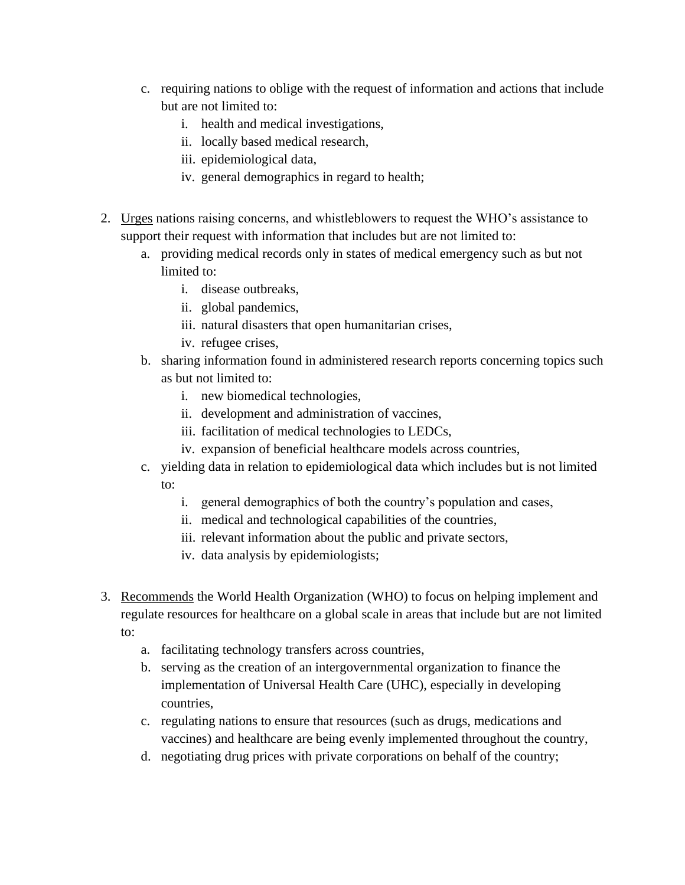- c. requiring nations to oblige with the request of information and actions that include but are not limited to:
	- i. health and medical investigations,
	- ii. locally based medical research,
	- iii. epidemiological data,
	- iv. general demographics in regard to health;
- 2. Urges nations raising concerns, and whistleblowers to request the WHO's assistance to support their request with information that includes but are not limited to:
	- a. providing medical records only in states of medical emergency such as but not limited to:
		- i. disease outbreaks,
		- ii. global pandemics,
		- iii. natural disasters that open humanitarian crises,
		- iv. refugee crises,
	- b. sharing information found in administered research reports concerning topics such as but not limited to:
		- i. new biomedical technologies,
		- ii. development and administration of vaccines,
		- iii. facilitation of medical technologies to LEDCs,
		- iv. expansion of beneficial healthcare models across countries,
	- c. yielding data in relation to epidemiological data which includes but is not limited to:
		- i. general demographics of both the country's population and cases,
		- ii. medical and technological capabilities of the countries,
		- iii. relevant information about the public and private sectors,
		- iv. data analysis by epidemiologists;
- 3. Recommends the World Health Organization (WHO) to focus on helping implement and regulate resources for healthcare on a global scale in areas that include but are not limited to:
	- a. facilitating technology transfers across countries,
	- b. serving as the creation of an intergovernmental organization to finance the implementation of Universal Health Care (UHC), especially in developing countries,
	- c. regulating nations to ensure that resources (such as drugs, medications and vaccines) and healthcare are being evenly implemented throughout the country,
	- d. negotiating drug prices with private corporations on behalf of the country;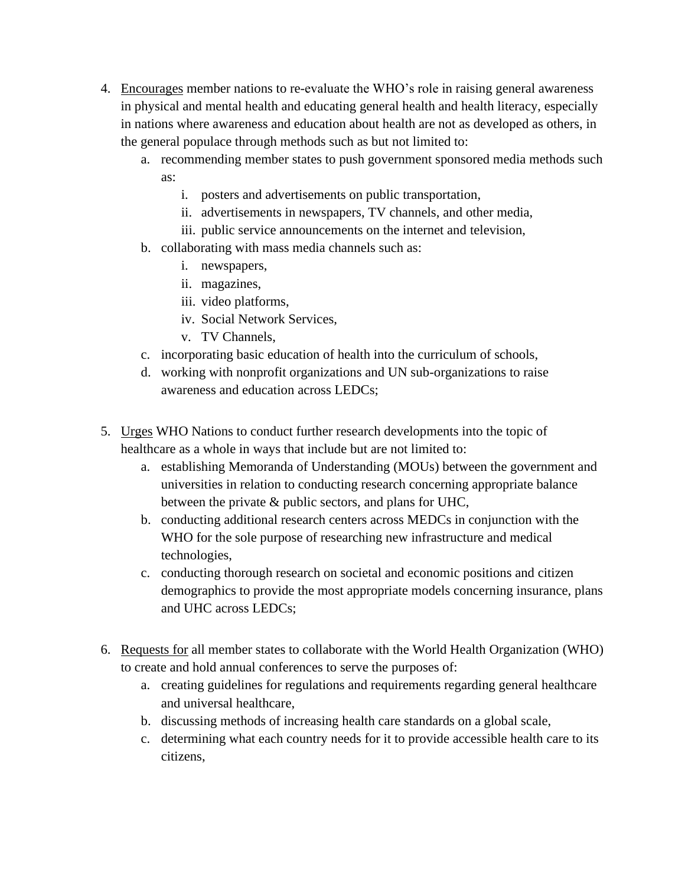- 4. Encourages member nations to re-evaluate the WHO's role in raising general awareness in physical and mental health and educating general health and health literacy, especially in nations where awareness and education about health are not as developed as others, in the general populace through methods such as but not limited to:
	- a. recommending member states to push government sponsored media methods such as:
		- i. posters and advertisements on public transportation,
		- ii. advertisements in newspapers, TV channels, and other media,
		- iii. public service announcements on the internet and television,
	- b. collaborating with mass media channels such as:
		- i. newspapers,
		- ii. magazines,
		- iii. video platforms,
		- iv. Social Network Services,
		- v. TV Channels,
	- c. incorporating basic education of health into the curriculum of schools,
	- d. working with nonprofit organizations and UN sub-organizations to raise awareness and education across LEDCs;
- 5. Urges WHO Nations to conduct further research developments into the topic of healthcare as a whole in ways that include but are not limited to:
	- a. establishing Memoranda of Understanding (MOUs) between the government and universities in relation to conducting research concerning appropriate balance between the private & public sectors, and plans for UHC,
	- b. conducting additional research centers across MEDCs in conjunction with the WHO for the sole purpose of researching new infrastructure and medical technologies,
	- c. conducting thorough research on societal and economic positions and citizen demographics to provide the most appropriate models concerning insurance, plans and UHC across LEDCs;
- 6. Requests for all member states to collaborate with the World Health Organization (WHO) to create and hold annual conferences to serve the purposes of:
	- a. creating guidelines for regulations and requirements regarding general healthcare and universal healthcare,
	- b. discussing methods of increasing health care standards on a global scale,
	- c. determining what each country needs for it to provide accessible health care to its citizens,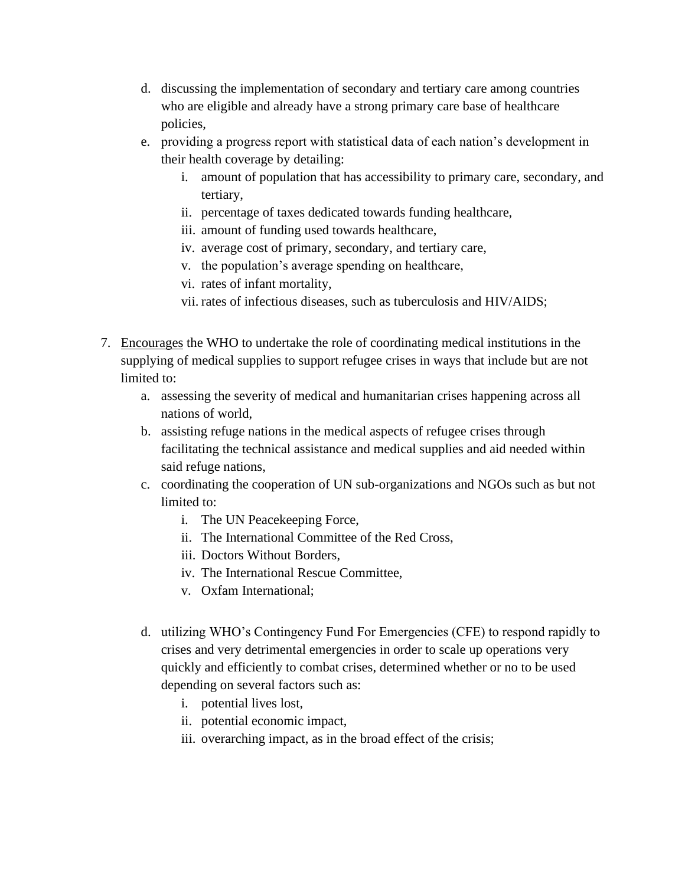- d. discussing the implementation of secondary and tertiary care among countries who are eligible and already have a strong primary care base of healthcare policies,
- e. providing a progress report with statistical data of each nation's development in their health coverage by detailing:
	- i. amount of population that has accessibility to primary care, secondary, and tertiary,
	- ii. percentage of taxes dedicated towards funding healthcare,
	- iii. amount of funding used towards healthcare,
	- iv. average cost of primary, secondary, and tertiary care,
	- v. the population's average spending on healthcare,
	- vi. rates of infant mortality,
	- vii. rates of infectious diseases, such as tuberculosis and HIV/AIDS;
- 7. Encourages the WHO to undertake the role of coordinating medical institutions in the supplying of medical supplies to support refugee crises in ways that include but are not limited to:
	- a. assessing the severity of medical and humanitarian crises happening across all nations of world,
	- b. assisting refuge nations in the medical aspects of refugee crises through facilitating the technical assistance and medical supplies and aid needed within said refuge nations,
	- c. coordinating the cooperation of UN sub-organizations and NGOs such as but not limited to:
		- i. The UN Peacekeeping Force,
		- ii. The International Committee of the Red Cross,
		- iii. Doctors Without Borders,
		- iv. The International Rescue Committee,
		- v. Oxfam International;
	- d. utilizing WHO's Contingency Fund For Emergencies (CFE) to respond rapidly to crises and very detrimental emergencies in order to scale up operations very quickly and efficiently to combat crises, determined whether or no to be used depending on several factors such as:
		- i. potential lives lost,
		- ii. potential economic impact,
		- iii. overarching impact, as in the broad effect of the crisis;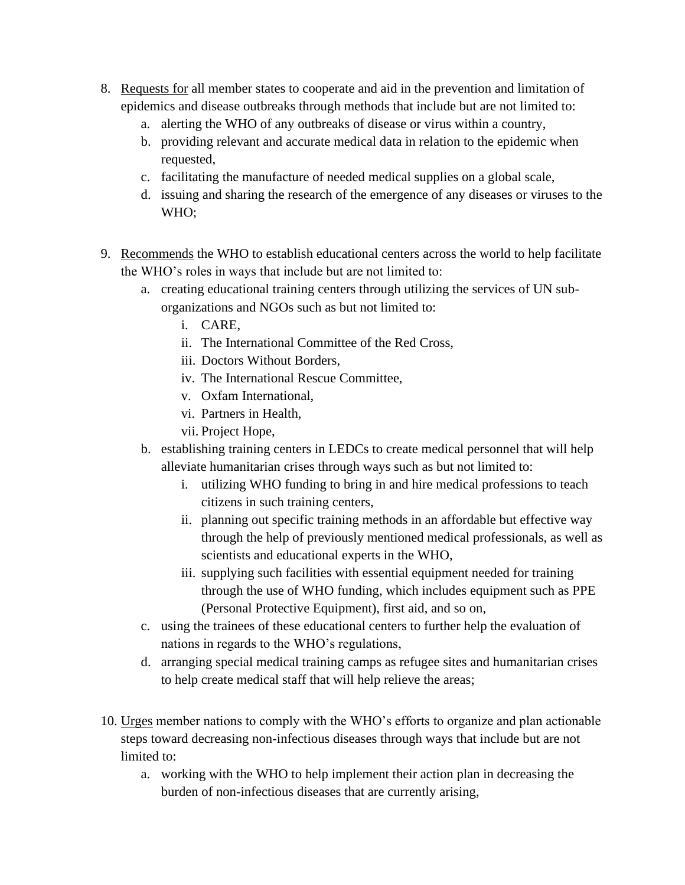- 8. Requests for all member states to cooperate and aid in the prevention and limitation of epidemics and disease outbreaks through methods that include but are not limited to:
	- a. alerting the WHO of any outbreaks of disease or virus within a country,
	- b. providing relevant and accurate medical data in relation to the epidemic when requested,
	- c. facilitating the manufacture of needed medical supplies on a global scale,
	- d. issuing and sharing the research of the emergence of any diseases or viruses to the WHO;
- 9. Recommends the WHO to establish educational centers across the world to help facilitate the WHO's roles in ways that include but are not limited to:
	- a. creating educational training centers through utilizing the services of UN suborganizations and NGOs such as but not limited to:
		- i. CARE,
		- ii. The International Committee of the Red Cross,
		- iii. Doctors Without Borders,
		- iv. The International Rescue Committee,
		- v. Oxfam International,
		- vi. Partners in Health,
		- vii. Project Hope,
	- b. establishing training centers in LEDCs to create medical personnel that will help alleviate humanitarian crises through ways such as but not limited to:
		- i. utilizing WHO funding to bring in and hire medical professions to teach citizens in such training centers,
		- ii. planning out specific training methods in an affordable but effective way through the help of previously mentioned medical professionals, as well as scientists and educational experts in the WHO,
		- iii. supplying such facilities with essential equipment needed for training through the use of WHO funding, which includes equipment such as PPE (Personal Protective Equipment), first aid, and so on,
	- c. using the trainees of these educational centers to further help the evaluation of nations in regards to the WHO's regulations,
	- d. arranging special medical training camps as refugee sites and humanitarian crises to help create medical staff that will help relieve the areas;
- 10. Urges member nations to comply with the WHO's efforts to organize and plan actionable steps toward decreasing non-infectious diseases through ways that include but are not limited to:
	- a. working with the WHO to help implement their action plan in decreasing the burden of non-infectious diseases that are currently arising,